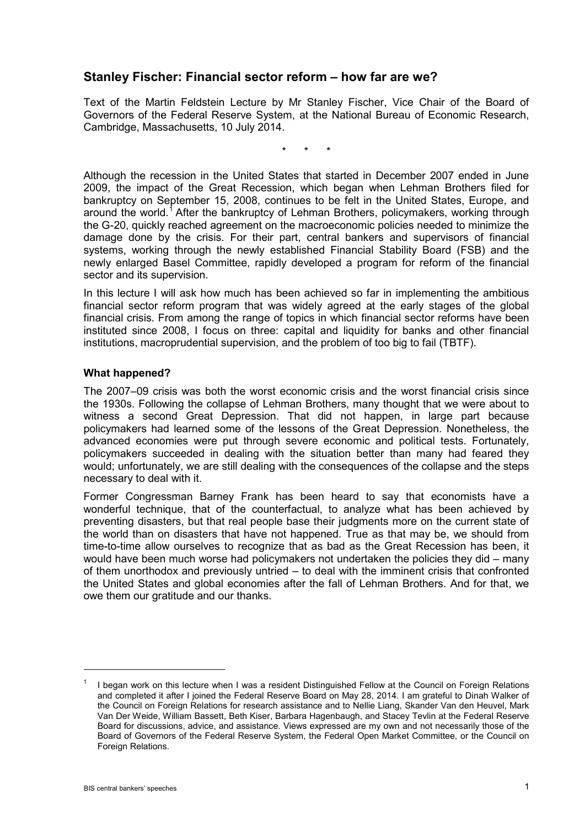# **Stanley Fischer: Financial sector reform – how far are we?**

Text of the Martin Feldstein Lecture by Mr Stanley Fischer, Vice Chair of the Board of Governors of the Federal Reserve System, at the National Bureau of Economic Research, Cambridge, Massachusetts, 10 July 2014.

\* \* \*

Although the recession in the United States that started in December 2007 ended in June 2009, the impact of the Great Recession, which began when Lehman Brothers filed for bankruptcy on September 15, 2008, continues to be felt in the United States, Europe, and around the world.<sup>[1](#page-0-0)</sup> After the bankruptcy of Lehman Brothers, policymakers, working through the G-20, quickly reached agreement on the macroeconomic policies needed to minimize the damage done by the crisis. For their part, central bankers and supervisors of financial systems, working through the newly established Financial Stability Board (FSB) and the newly enlarged Basel Committee, rapidly developed a program for reform of the financial sector and its supervision.

In this lecture I will ask how much has been achieved so far in implementing the ambitious financial sector reform program that was widely agreed at the early stages of the global financial crisis. From among the range of topics in which financial sector reforms have been instituted since 2008, I focus on three: capital and liquidity for banks and other financial institutions, macroprudential supervision, and the problem of too big to fail (TBTF).

#### **What happened?**

The 2007–09 crisis was both the worst economic crisis and the worst financial crisis since the 1930s. Following the collapse of Lehman Brothers, many thought that we were about to witness a second Great Depression. That did not happen, in large part because policymakers had learned some of the lessons of the Great Depression. Nonetheless, the advanced economies were put through severe economic and political tests. Fortunately, policymakers succeeded in dealing with the situation better than many had feared they would; unfortunately, we are still dealing with the consequences of the collapse and the steps necessary to deal with it.

Former Congressman Barney Frank has been heard to say that economists have a wonderful technique, that of the counterfactual, to analyze what has been achieved by preventing disasters, but that real people base their judgments more on the current state of the world than on disasters that have not happened. True as that may be, we should from time-to-time allow ourselves to recognize that as bad as the Great Recession has been, it would have been much worse had policymakers not undertaken the policies they did – many of them unorthodox and previously untried – to deal with the imminent crisis that confronted the United States and global economies after the fall of Lehman Brothers. And for that, we owe them our gratitude and our thanks.

<span id="page-0-0"></span>I began work on this lecture when I was a resident Distinguished Fellow at the Council on Foreign Relations and completed it after I joined the Federal Reserve Board on May 28, 2014. I am grateful to Dinah Walker of the Council on Foreign Relations for research assistance and to Nellie Liang, Skander Van den Heuvel, Mark Van Der Weide, William Bassett, Beth Kiser, Barbara Hagenbaugh, and Stacey Tevlin at the Federal Reserve Board for discussions, advice, and assistance. Views expressed are my own and not necessarily those of the Board of Governors of the Federal Reserve System, the Federal Open Market Committee, or the Council on Foreign Relations.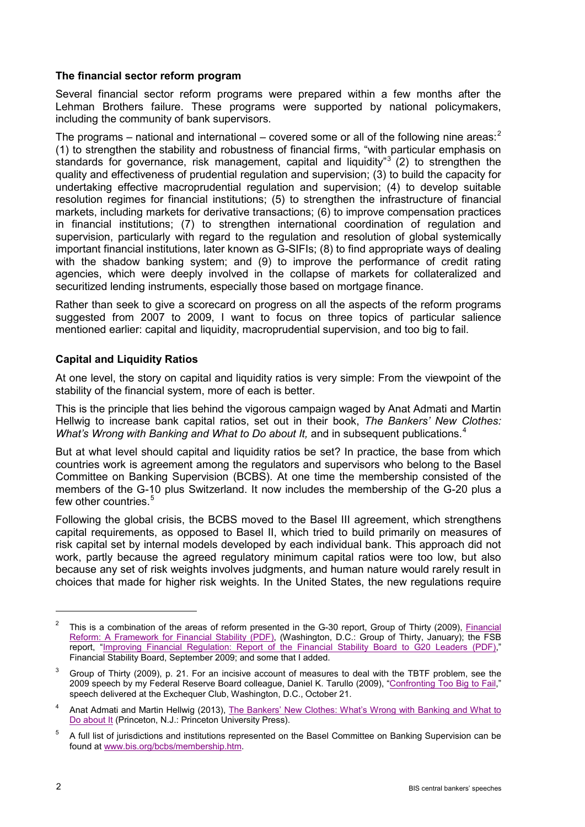## **The financial sector reform program**

Several financial sector reform programs were prepared within a few months after the Lehman Brothers failure. These programs were supported by national policymakers, including the community of bank supervisors.

The programs – national and international – covered some or all of the following nine areas: $2$ (1) to strengthen the stability and robustness of financial firms, "with particular emphasis on standards for governance, risk management, capital and liquidity"<sup>[3](#page-1-1)</sup> (2) to strengthen the quality and effectiveness of prudential regulation and supervision; (3) to build the capacity for undertaking effective macroprudential regulation and supervision; (4) to develop suitable resolution regimes for financial institutions; (5) to strengthen the infrastructure of financial markets, including markets for derivative transactions; (6) to improve compensation practices in financial institutions; (7) to strengthen international coordination of regulation and supervision, particularly with regard to the regulation and resolution of global systemically important financial institutions, later known as G-SIFIs; (8) to find appropriate ways of dealing with the shadow banking system; and (9) to improve the performance of credit rating agencies, which were deeply involved in the collapse of markets for collateralized and securitized lending instruments, especially those based on mortgage finance.

Rather than seek to give a scorecard on progress on all the aspects of the reform programs suggested from 2007 to 2009, I want to focus on three topics of particular salience mentioned earlier: capital and liquidity, macroprudential supervision, and too big to fail.

#### **Capital and Liquidity Ratios**

At one level, the story on capital and liquidity ratios is very simple: From the viewpoint of the stability of the financial system, more of each is better.

This is the principle that lies behind the vigorous campaign waged by Anat Admati and Martin Hellwig to increase bank capital ratios, set out in their book, *The Bankers' New Clothes: What's Wrong with Banking and What to Do about It, and in subsequent publications.<sup>[4](#page-1-2)</sup>* 

But at what level should capital and liquidity ratios be set? In practice, the base from which countries work is agreement among the regulators and supervisors who belong to the Basel Committee on Banking Supervision (BCBS). At one time the membership consisted of the members of the G-10 plus Switzerland. It now includes the membership of the G-20 plus a few other countries.<sup>[5](#page-1-3)</sup>

Following the global crisis, the BCBS moved to the Basel III agreement, which strengthens capital requirements, as opposed to Basel II, which tried to build primarily on measures of risk capital set by internal models developed by each individual bank. This approach did not work, partly because the agreed regulatory minimum capital ratios were too low, but also because any set of risk weights involves judgments, and human nature would rarely result in choices that made for higher risk weights. In the United States, the new regulations require

<span id="page-1-0"></span> $2$  This is a combination of the areas of reform presented in the G-30 report, Group of Thirty (2009), Financial [Reform: A Framework for Financial Stability \(PDF\),](http://fic.wharton.upenn.edu/fic/Policy%20page/G30Report.pdf) (Washington, D.C.: Group of Thirty, January); the FSB report, ["Improving Financial Regulation: Report of the Financial Stability Board to G20 Leaders \(PDF\),](http://www.financialstabilityboard.org/publications/r_090925b.pdf)" Financial Stability Board, September 2009; and some that I added.

<span id="page-1-1"></span><sup>3</sup> Group of Thirty (2009), p. 21. For an incisive account of measures to deal with the TBTF problem, see the 2009 speech by my Federal Reserve Board colleague, Daniel K. Tarullo (2009), ["Confronting Too Big to Fail,](http://www.federalreserve.gov/newsevents/speech/tarullo20091021a.htm)" speech delivered at the Exchequer Club, Washington, D.C., October 21.

<span id="page-1-2"></span><sup>&</sup>lt;sup>4</sup> Anat Admati and Martin Hellwig (2013), The Bankers' New Clothes: What's Wrong with Banking and What to [Do about It](http://ideas.repec.org/h/pup/chapts/9929-1.html) (Princeton, N.J.: Princeton University Press).

<span id="page-1-3"></span><sup>5</sup> A full list of jurisdictions and institutions represented on the Basel Committee on Banking Supervision can be found at [www.bis.org/bcbs/membership.htm.](http://www.bis.org/bcbs/membership.htm)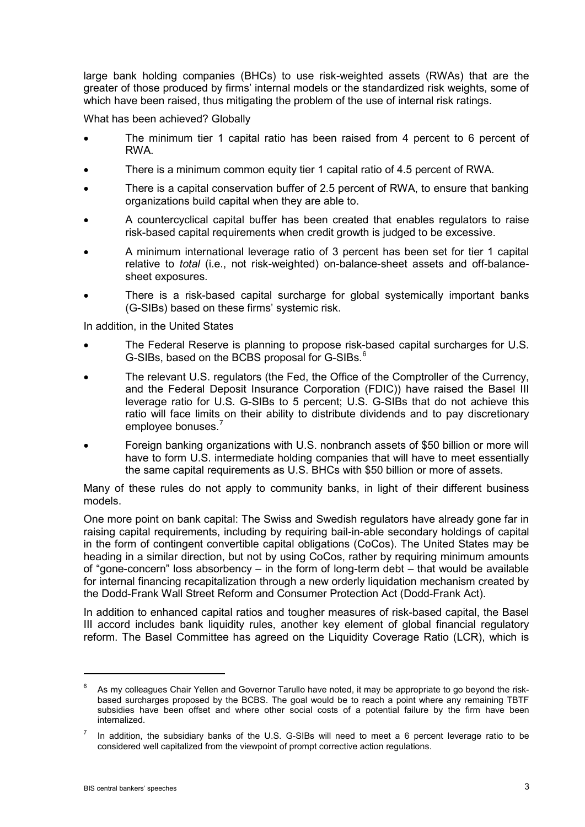large bank holding companies (BHCs) to use risk-weighted assets (RWAs) that are the greater of those produced by firms' internal models or the standardized risk weights, some of which have been raised, thus mitigating the problem of the use of internal risk ratings.

What has been achieved? Globally

- The minimum tier 1 capital ratio has been raised from 4 percent to 6 percent of RWA.
- There is a minimum common equity tier 1 capital ratio of 4.5 percent of RWA.
- There is a capital conservation buffer of 2.5 percent of RWA, to ensure that banking organizations build capital when they are able to.
- A countercyclical capital buffer has been created that enables regulators to raise risk-based capital requirements when credit growth is judged to be excessive.
- A minimum international leverage ratio of 3 percent has been set for tier 1 capital relative to *total* (i.e., not risk-weighted) on-balance-sheet assets and off-balancesheet exposures.
- There is a risk-based capital surcharge for global systemically important banks (G-SIBs) based on these firms' systemic risk.

In addition, in the United States

- The Federal Reserve is planning to propose risk-based capital surcharges for U.S. G-SIBs, based on the BCBS proposal for G-SIBs.<sup>[6](#page-2-0)</sup>
- The relevant U.S. regulators (the Fed, the Office of the Comptroller of the Currency, and the Federal Deposit Insurance Corporation (FDIC)) have raised the Basel III leverage ratio for U.S. G-SIBs to 5 percent; U.S. G-SIBs that do not achieve this ratio will face limits on their ability to distribute dividends and to pay discretionary employee bonuses.<sup>[7](#page-2-1)</sup>
- Foreign banking organizations with U.S. nonbranch assets of \$50 billion or more will have to form U.S. intermediate holding companies that will have to meet essentially the same capital requirements as U.S. BHCs with \$50 billion or more of assets.

Many of these rules do not apply to community banks, in light of their different business models.

One more point on bank capital: The Swiss and Swedish regulators have already gone far in raising capital requirements, including by requiring bail-in-able secondary holdings of capital in the form of contingent convertible capital obligations (CoCos). The United States may be heading in a similar direction, but not by using CoCos, rather by requiring minimum amounts of "gone-concern" loss absorbency – in the form of long-term debt – that would be available for internal financing recapitalization through a new orderly liquidation mechanism created by the Dodd-Frank Wall Street Reform and Consumer Protection Act (Dodd-Frank Act).

In addition to enhanced capital ratios and tougher measures of risk-based capital, the Basel III accord includes bank liquidity rules, another key element of global financial regulatory reform. The Basel Committee has agreed on the Liquidity Coverage Ratio (LCR), which is

<span id="page-2-0"></span>As my colleagues Chair Yellen and Governor Tarullo have noted, it may be appropriate to go beyond the riskbased surcharges proposed by the BCBS. The goal would be to reach a point where any remaining TBTF subsidies have been offset and where other social costs of a potential failure by the firm have been internalized.

<span id="page-2-1"></span> $<sup>7</sup>$  In addition, the subsidiary banks of the U.S. G-SIBs will need to meet a 6 percent leverage ratio to be</sup> considered well capitalized from the viewpoint of prompt corrective action regulations.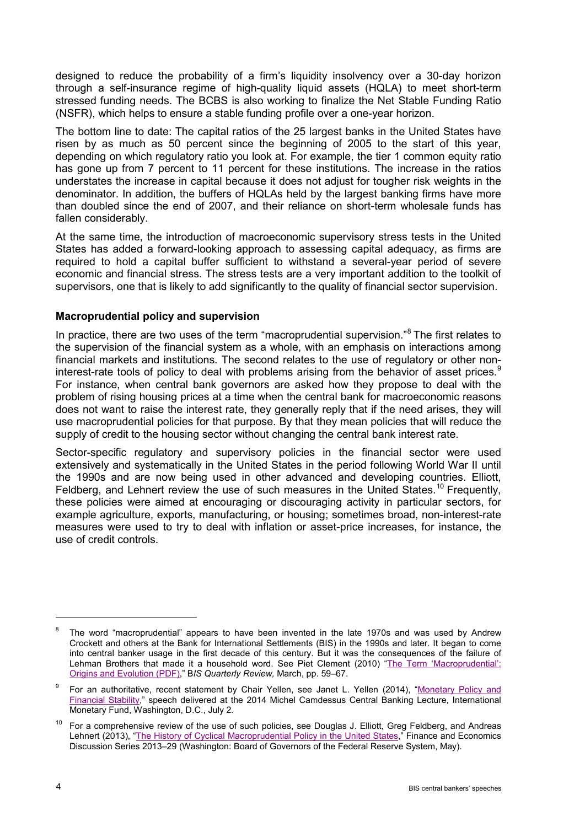designed to reduce the probability of a firm's liquidity insolvency over a 30-day horizon through a self-insurance regime of high-quality liquid assets (HQLA) to meet short-term stressed funding needs. The BCBS is also working to finalize the Net Stable Funding Ratio (NSFR), which helps to ensure a stable funding profile over a one-year horizon.

The bottom line to date: The capital ratios of the 25 largest banks in the United States have risen by as much as 50 percent since the beginning of 2005 to the start of this year, depending on which regulatory ratio you look at. For example, the tier 1 common equity ratio has gone up from 7 percent to 11 percent for these institutions. The increase in the ratios understates the increase in capital because it does not adjust for tougher risk weights in the denominator. In addition, the buffers of HQLAs held by the largest banking firms have more than doubled since the end of 2007, and their reliance on short-term wholesale funds has fallen considerably.

At the same time, the introduction of macroeconomic supervisory stress tests in the United States has added a forward-looking approach to assessing capital adequacy, as firms are required to hold a capital buffer sufficient to withstand a several-year period of severe economic and financial stress. The stress tests are a very important addition to the toolkit of supervisors, one that is likely to add significantly to the quality of financial sector supervision.

#### **Macroprudential policy and supervision**

In practice, there are two uses of the term "macroprudential supervision." [8](#page-3-0) The first relates to the supervision of the financial system as a whole, with an emphasis on interactions among financial markets and institutions. The second relates to the use of regulatory or other non-interest-rate tools of policy to deal with problems arising from the behavior of asset prices.<sup>[9](#page-3-1)</sup> For instance, when central bank governors are asked how they propose to deal with the problem of rising housing prices at a time when the central bank for macroeconomic reasons does not want to raise the interest rate, they generally reply that if the need arises, they will use macroprudential policies for that purpose. By that they mean policies that will reduce the supply of credit to the housing sector without changing the central bank interest rate.

Sector-specific regulatory and supervisory policies in the financial sector were used extensively and systematically in the United States in the period following World War II until the 1990s and are now being used in other advanced and developing countries. Elliott, Feldberg, and Lehnert review the use of such measures in the United States.<sup>[10](#page-3-2)</sup> Frequently, these policies were aimed at encouraging or discouraging activity in particular sectors, for example agriculture, exports, manufacturing, or housing; sometimes broad, non-interest-rate measures were used to try to deal with inflation or asset-price increases, for instance, the use of credit controls.

<span id="page-3-0"></span><sup>&</sup>lt;sup>8</sup> The word "macroprudential" appears to have been invented in the late 1970s and was used by Andrew Crockett and others at the Bank for International Settlements (BIS) in the 1990s and later. It began to come into central banker usage in the first decade of this century. But it was the consequences of the failure of Lehman Brothers that made it a household word. See Piet Clement (2010) "The Term 'Macroprudential': [Origins and Evolution \(PDF\),](http://www.bis.org/publ/qtrpdf/r_qt1003h.pdf)" B*IS Quarterly Review,* March, pp. 59–67.

<span id="page-3-1"></span>For an authoritative, recent statement by Chair Yellen, see Janet L. Yellen (2014), "Monetary Policy and [Financial Stability,](http://www.federalreserve.gov/newsevents/speech/yellen20140702a.htm)" speech delivered at the 2014 Michel Camdessus Central Banking Lecture, International Monetary Fund, Washington, D.C., July 2.

<span id="page-3-2"></span><sup>&</sup>lt;sup>10</sup> For a comprehensive review of the use of such policies, see Douglas J. Elliott, Greg Feldberg, and Andreas Lehnert (2013), ["The History of Cyclical Macroprudential Policy in the United States,"](http://www.federalreserve.gov/pubs/feds/2013/201329/201329abs.html) Finance and Economics Discussion Series 2013–29 (Washington: Board of Governors of the Federal Reserve System, May).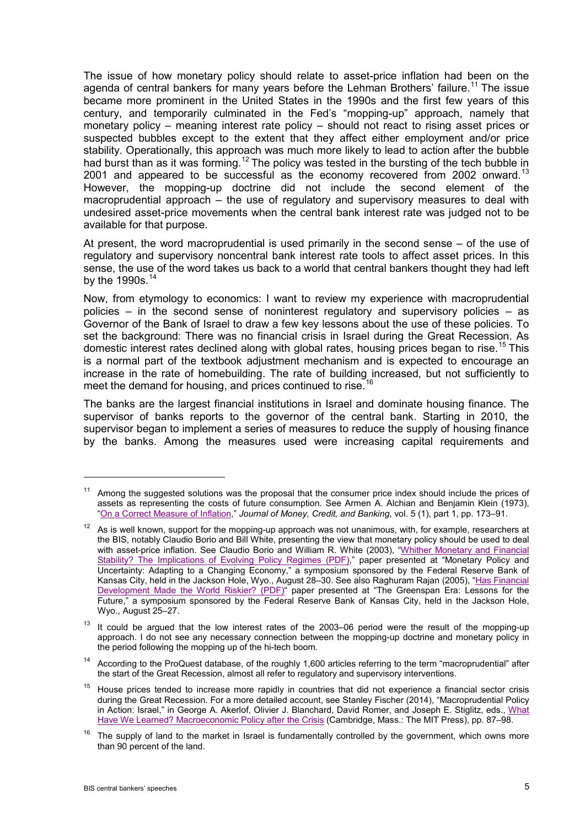The issue of how monetary policy should relate to asset-price inflation had been on the agenda of central bankers for many years before the Lehman Brothers' failure.<sup>[11](#page-4-0)</sup> The issue became more prominent in the United States in the 1990s and the first few years of this century, and temporarily culminated in the Fed's "mopping-up" approach, namely that monetary policy – meaning interest rate policy – should not react to rising asset prices or suspected bubbles except to the extent that they affect either employment and/or price stability. Operationally, this approach was much more likely to lead to action after the bubble had burst than as it was forming.<sup>[12](#page-4-1)</sup> The policy was tested in the bursting of the tech bubble in 2001 and appeared to be successful as the economy recovered from 2002 onward.<sup>[13](#page-4-2)</sup> However, the mopping-up doctrine did not include the second element of the macroprudential approach – the use of regulatory and supervisory measures to deal with undesired asset-price movements when the central bank interest rate was judged not to be available for that purpose.

At present, the word macroprudential is used primarily in the second sense – of the use of regulatory and supervisory noncentral bank interest rate tools to affect asset prices. In this sense, the use of the word takes us back to a world that central bankers thought they had left by the 1990s. $14$ 

Now, from etymology to economics: I want to review my experience with macroprudential policies – in the second sense of noninterest regulatory and supervisory policies – as Governor of the Bank of Israel to draw a few key lessons about the use of these policies. To set the background: There was no financial crisis in Israel during the Great Recession. As domestic interest rates declined along with global rates, housing prices began to rise.<sup>[15](#page-4-4)</sup> This is a normal part of the textbook adjustment mechanism and is expected to encourage an increase in the rate of homebuilding. The rate of building increased, but not sufficiently to meet the demand for housing, and prices continued to rise.

The banks are the largest financial institutions in Israel and dominate housing finance. The supervisor of banks reports to the governor of the central bank. Starting in 2010, the supervisor began to implement a series of measures to reduce the supply of housing finance by the banks. Among the measures used were increasing capital requirements and

<span id="page-4-0"></span> $11$  Among the suggested solutions was the proposal that the consumer price index should include the prices of assets as representing the costs of future consumption. See Armen A. Alchian and Benjamin Klein (1973), ["On a Correct Measure of Inflation,"](http://ideas.repec.org/a/mcb/jmoncb/v5y1973i1p173-91.html) *Journal of Money, Credit, and Banking*, vol. 5 (1), part 1, pp. 173–91.

<span id="page-4-1"></span> $12$  As is well known, support for the mopping-up approach was not unanimous, with, for example, researchers at the BIS, notably Claudio Borio and Bill White, presenting the view that monetary policy should be used to deal with asset-price inflation. See Claudio Borio and William R. White (2003), "Whither Monetary and Financial [Stability? The Implications of Evolving Policy Regimes \(PDF\),](http://www.kansascityfed.org/publicat/sympos/2003/pdf/Boriowhite2003.pdf)" paper presented at "Monetary Policy and Uncertainty: Adapting to a Changing Economy," a symposium sponsored by the Federal Reserve Bank of Kansas City, held in the Jackson Hole, Wyo., August 28-30. See also Raghuram Rajan (2005), "Has Financial [Development Made the](http://www.kansascityfed.org/publicat/sympos/2005/pdf/Rajan2005.pdf) World Riskier? (PDF)" paper presented at "The Greenspan Era: Lessons for the Future," a symposium sponsored by the Federal Reserve Bank of Kansas City, held in the Jackson Hole, Wyo., August 25–27.

<span id="page-4-2"></span> $13$  It could be argued that the low interest rates of the 2003–06 period were the result of the mopping-up approach. I do not see any necessary connection between the mopping-up doctrine and monetary policy in the period following the mopping up of the hi-tech boom.

<span id="page-4-3"></span><sup>&</sup>lt;sup>14</sup> According to the ProQuest database, of the roughly 1,600 articles referring to the term "macroprudential" after the start of the Great Recession, almost all refer to regulatory and supervisory interventions.

<span id="page-4-4"></span><sup>&</sup>lt;sup>15</sup> House prices tended to increase more rapidly in countries that did not experience a financial sector crisis during the Great Recession. For a more detailed account, see Stanley Fischer (2014), "Macroprudential Policy in Action: Israel," in George A. Akerlof, Olivier J. Blanchard, David Romer, and Joseph E. Stiglitz, eds., [What](http://ideas.repec.org/b/mtp/titles/0262027348.html)  [Have We Learned? Macroeconomic Policy after the Crisis](http://ideas.repec.org/b/mtp/titles/0262027348.html) (Cambridge, Mass.: The MIT Press), pp. 87–98.

<span id="page-4-5"></span> $16$  The supply of land to the market in Israel is fundamentally controlled by the government, which owns more than 90 percent of the land.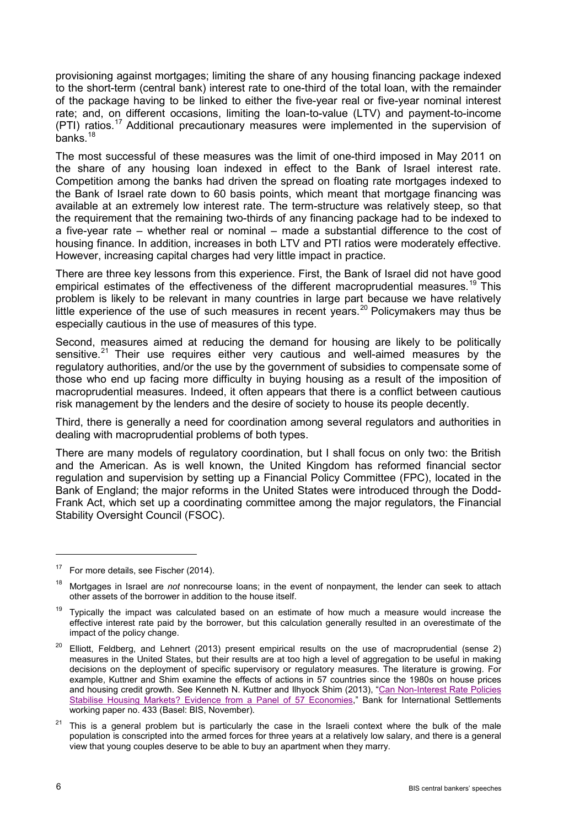provisioning against mortgages; limiting the share of any housing financing package indexed to the short-term (central bank) interest rate to one-third of the total loan, with the remainder of the package having to be linked to either the five-year real or five-year nominal interest rate; and, on different occasions, limiting the loan-to-value (LTV) and payment-to-income (PTI) ratios.[17](#page-5-0) Additional precautionary measures were implemented in the supervision of banks.<sup>[18](#page-5-1)</sup>

The most successful of these measures was the limit of one-third imposed in May 2011 on the share of any housing loan indexed in effect to the Bank of Israel interest rate. Competition among the banks had driven the spread on floating rate mortgages indexed to the Bank of Israel rate down to 60 basis points, which meant that mortgage financing was available at an extremely low interest rate. The term-structure was relatively steep, so that the requirement that the remaining two-thirds of any financing package had to be indexed to a five-year rate – whether real or nominal – made a substantial difference to the cost of housing finance. In addition, increases in both LTV and PTI ratios were moderately effective. However, increasing capital charges had very little impact in practice.

There are three key lessons from this experience. First, the Bank of Israel did not have good empirical estimates of the effectiveness of the different macroprudential measures.<sup>[19](#page-5-2)</sup> This problem is likely to be relevant in many countries in large part because we have relatively little experience of the use of such measures in recent years.<sup>[20](#page-5-3)</sup> Policymakers may thus be especially cautious in the use of measures of this type.

Second, measures aimed at reducing the demand for housing are likely to be politically sensitive.<sup>[21](#page-5-4)</sup> Their use requires either very cautious and well-aimed measures by the regulatory authorities, and/or the use by the government of subsidies to compensate some of those who end up facing more difficulty in buying housing as a result of the imposition of macroprudential measures. Indeed, it often appears that there is a conflict between cautious risk management by the lenders and the desire of society to house its people decently.

Third, there is generally a need for coordination among several regulators and authorities in dealing with macroprudential problems of both types.

There are many models of regulatory coordination, but I shall focus on only two: the British and the American. As is well known, the United Kingdom has reformed financial sector regulation and supervision by setting up a Financial Policy Committee (FPC), located in the Bank of England; the major reforms in the United States were introduced through the Dodd-Frank Act, which set up a coordinating committee among the major regulators, the Financial Stability Oversight Council (FSOC).

<span id="page-5-0"></span> $17$  For more details, see Fischer (2014).

<span id="page-5-1"></span><sup>18</sup> Mortgages in Israel are *not* nonrecourse loans; in the event of nonpayment, the lender can seek to attach other assets of the borrower in addition to the house itself.

<span id="page-5-2"></span> $19$  Typically the impact was calculated based on an estimate of how much a measure would increase the effective interest rate paid by the borrower, but this calculation generally resulted in an overestimate of the impact of the policy change.

<span id="page-5-3"></span> $20$  Elliott, Feldberg, and Lehnert (2013) present empirical results on the use of macroprudential (sense 2) measures in the United States, but their results are at too high a level of aggregation to be useful in making decisions on the deployment of specific supervisory or regulatory measures. The literature is growing. For example, Kuttner and Shim examine the effects of actions in 57 countries since the 1980s on house prices and housing credit growth. See Kenneth N. Kuttner and Ilhyock Shim (2013), "Can Non-Interest Rate Policies [Stabilise Housing Markets? Evidence from a Panel of 57 Economies,"](http://www.bis.org/publ/work433.htm) Bank for International Settlements working paper no. 433 (Basel: BIS, November).

<span id="page-5-4"></span> $21$  This is a general problem but is particularly the case in the Israeli context where the bulk of the male population is conscripted into the armed forces for three years at a relatively low salary, and there is a general view that young couples deserve to be able to buy an apartment when they marry.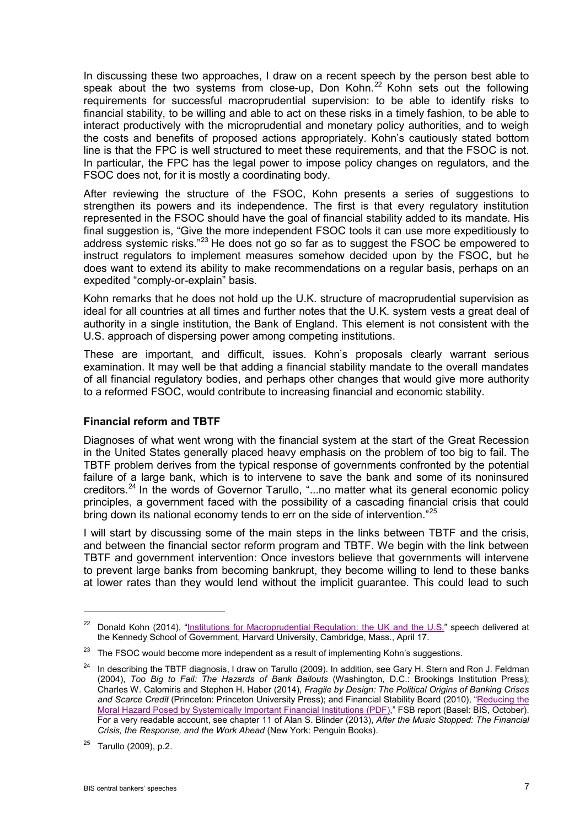In discussing these two approaches, I draw on a recent speech by the person best able to speak about the two systems from close-up, Don Kohn.<sup>[22](#page-6-0)</sup> Kohn sets out the following requirements for successful macroprudential supervision: to be able to identify risks to financial stability, to be willing and able to act on these risks in a timely fashion, to be able to interact productively with the microprudential and monetary policy authorities, and to weigh the costs and benefits of proposed actions appropriately. Kohn's cautiously stated bottom line is that the FPC is well structured to meet these requirements, and that the FSOC is not. In particular, the FPC has the legal power to impose policy changes on regulators, and the FSOC does not, for it is mostly a coordinating body.

After reviewing the structure of the FSOC, Kohn presents a series of suggestions to strengthen its powers and its independence. The first is that every regulatory institution represented in the FSOC should have the goal of financial stability added to its mandate. His final suggestion is, "Give the more independent FSOC tools it can use more expeditiously to address systemic risks."<sup>[23](#page-6-1)</sup> He does not go so far as to suggest the FSOC be empowered to instruct regulators to implement measures somehow decided upon by the FSOC, but he does want to extend its ability to make recommendations on a regular basis, perhaps on an expedited "comply-or-explain" basis.

Kohn remarks that he does not hold up the U.K. structure of macroprudential supervision as ideal for all countries at all times and further notes that the U.K. system vests a great deal of authority in a single institution, the Bank of England. This element is not consistent with the U.S. approach of dispersing power among competing institutions.

These are important, and difficult, issues. Kohn's proposals clearly warrant serious examination. It may well be that adding a financial stability mandate to the overall mandates of all financial regulatory bodies, and perhaps other changes that would give more authority to a reformed FSOC, would contribute to increasing financial and economic stability.

## **Financial reform and TBTF**

Diagnoses of what went wrong with the financial system at the start of the Great Recession in the United States generally placed heavy emphasis on the problem of too big to fail. The TBTF problem derives from the typical response of governments confronted by the potential failure of a large bank, which is to intervene to save the bank and some of its noninsured creditors.[24](#page-6-2) In the words of Governor Tarullo, "...no matter what its general economic policy principles, a government faced with the possibility of a cascading financial crisis that could bring down its national economy tends to err on the side of intervention."<sup>[25](#page-6-3)</sup>

I will start by discussing some of the main steps in the links between TBTF and the crisis, and between the financial sector reform program and TBTF. We begin with the link between TBTF and government intervention: Once investors believe that governments will intervene to prevent large banks from becoming bankrupt, they become willing to lend to these banks at lower rates than they would lend without the implicit guarantee. This could lead to such

<span id="page-6-0"></span><sup>&</sup>lt;sup>22</sup> Donald Kohn (2014), ["Institutions for Macroprudential Regulation: the UK and the U.S."](http://www.brookings.edu/research/speeches/2014/04/17-institutions-macroprudential-regulation-kohn) speech delivered at the Kennedy School of Government, Harvard University, Cambridge, Mass., April 17.

<span id="page-6-1"></span> $23$  The FSOC would become more independent as a result of implementing Kohn's suggestions.

<span id="page-6-2"></span><sup>&</sup>lt;sup>24</sup> In describing the TBTF diagnosis, I draw on Tarullo (2009). In addition, see Gary H. Stern and Ron J. Feldman (2004), *Too Big to Fail: The Hazards of Bank Bailouts* (Washington, D.C.: Brookings Institution Press); Charles W. Calomiris and Stephen H. Haber (2014), *Fragile by Design: The Political Origins of Banking Crises*  and Scarce Credit (Princeton: Princeton University Press); and Financial Stability Board (2010), "<u>Reducing the</u> [Moral Hazard Posed by Systemically Important Financial Institutions \(PDF\),](http://www.financialstabilityboard.org/publications/r_101111a.pdf)" FSB report (Basel: BIS, October). For a very readable account, see chapter 11 of Alan S. Blinder (2013), *After the Music Stopped: The Financial Crisis, the Response, and the Work Ahead* (New York: Penguin Books).

<span id="page-6-3"></span><sup>25</sup> Tarullo (2009), p.2.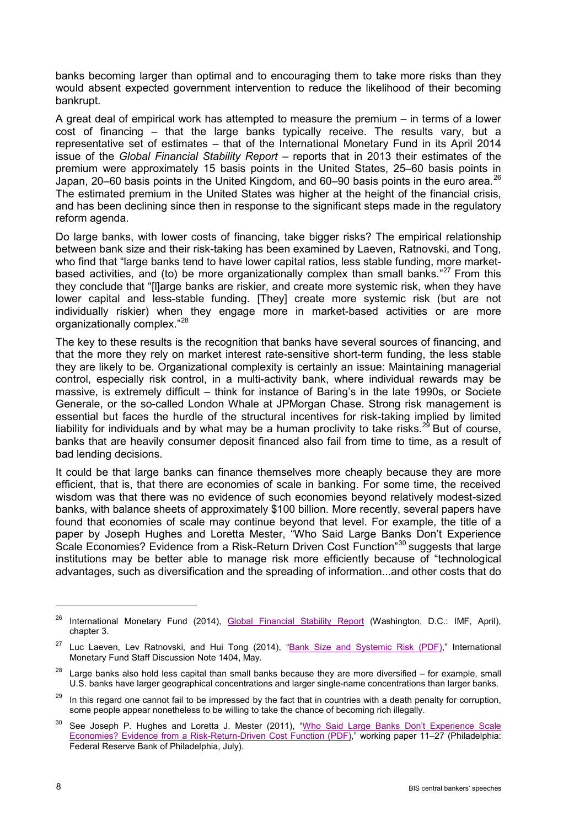banks becoming larger than optimal and to encouraging them to take more risks than they would absent expected government intervention to reduce the likelihood of their becoming bankrupt.

A great deal of empirical work has attempted to measure the premium – in terms of a lower cost of financing – that the large banks typically receive. The results vary, but a representative set of estimates – that of the International Monetary Fund in its April 2014 issue of the *Global Financial Stability Report* – reports that in 2013 their estimates of the premium were approximately 15 basis points in the United States, 25–60 basis points in Japan, 20–60 basis points in the United Kingdom, and 60–90 basis points in the euro area.<sup>[26](#page-7-0)</sup> The estimated premium in the United States was higher at the height of the financial crisis, and has been declining since then in response to the significant steps made in the regulatory reform agenda.

Do large banks, with lower costs of financing, take bigger risks? The empirical relationship between bank size and their risk-taking has been examined by Laeven, Ratnovski, and Tong, who find that "large banks tend to have lower capital ratios, less stable funding, more market-based activities, and (to) be more organizationally complex than small banks."<sup>[27](#page-7-1)</sup> From this they conclude that "[l]arge banks are riskier, and create more systemic risk, when they have lower capital and less-stable funding. [They] create more systemic risk (but are not individually riskier) when they engage more in market-based activities or are more organizationally complex." [28](#page-7-2)

The key to these results is the recognition that banks have several sources of financing, and that the more they rely on market interest rate-sensitive short-term funding, the less stable they are likely to be. Organizational complexity is certainly an issue: Maintaining managerial control, especially risk control, in a multi-activity bank, where individual rewards may be massive, is extremely difficult – think for instance of Baring's in the late 1990s, or Societe Generale, or the so-called London Whale at JPMorgan Chase. Strong risk management is essential but faces the hurdle of the structural incentives for risk-taking implied by limited liability for individuals and by what may be a human proclivity to take risks.<sup>[29](#page-7-3)</sup> But of course, banks that are heavily consumer deposit financed also fail from time to time, as a result of bad lending decisions.

It could be that large banks can finance themselves more cheaply because they are more efficient, that is, that there are economies of scale in banking. For some time, the received wisdom was that there was no evidence of such economies beyond relatively modest-sized banks, with balance sheets of approximately \$100 billion. More recently, several papers have found that economies of scale may continue beyond that level. For example, the title of a paper by Joseph Hughes and Loretta Mester, "Who Said Large Banks Don't Experience Scale Economies? Evidence from a Risk-Return Driven Cost Function<sup>"[30](#page-7-4)</sup> suggests that large institutions may be better able to manage risk more efficiently because of "technological advantages, such as diversification and the spreading of information...and other costs that do

<span id="page-7-0"></span><sup>&</sup>lt;sup>26</sup> International Monetary Fund (2014), [Global Financial Stability Report](http://www.imf.org/external/pubs/ft/gfsr/) (Washington, D.C.: IMF, April), chapter 3.

<span id="page-7-1"></span><sup>&</sup>lt;sup>27</sup> Luc Laeven, Lev Ratnovski, and Hui Tong (2014), ["Bank Size and Systemic Risk \(PDF\),"](http://www.imf.org/external/pubs/ft/sdn/2014/sdn1404.pdf) International Monetary Fund Staff Discussion Note 1404, May.

<span id="page-7-2"></span> $28$  Large banks also hold less capital than small banks because they are more diversified – for example, small U.S. banks have larger geographical concentrations and larger single-name concentrations than larger banks.

<span id="page-7-3"></span><sup>&</sup>lt;sup>29</sup> In this regard one cannot fail to be impressed by the fact that in countries with a death penalty for corruption, some people appear nonetheless to be willing to take the chance of becoming rich illegally.

<span id="page-7-4"></span><sup>&</sup>lt;sup>30</sup> See Joseph P. Hughes and Loretta J. Mester (2011), "Who Said Large Banks Don't Experience Scale [Economies? Evidence from a Risk-Return-Driven Cost Function \(PDF\),](http://www.philadelphiafed.org/research-and-data/publications/working-papers/2011/wp11-27.pdf)" working paper 11–27 (Philadelphia: Federal Reserve Bank of Philadelphia, July).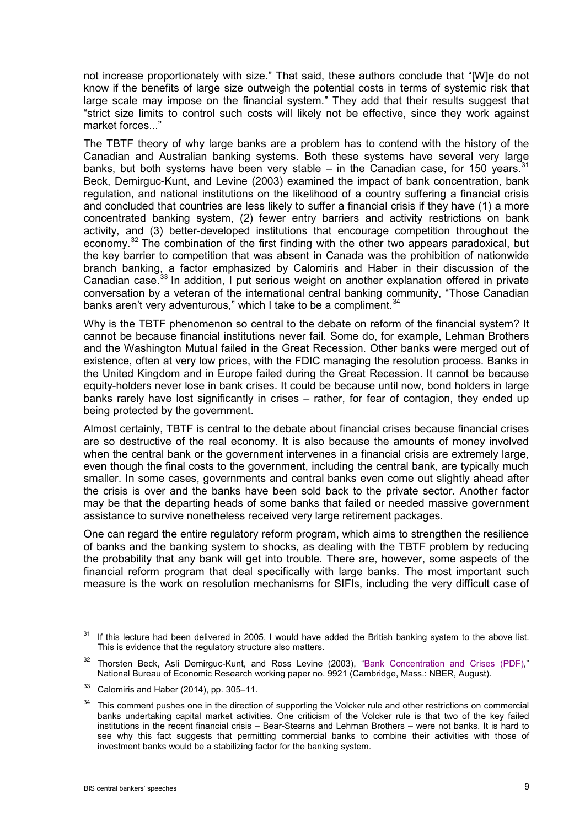not increase proportionately with size." That said, these authors conclude that "[W]e do not know if the benefits of large size outweigh the potential costs in terms of systemic risk that large scale may impose on the financial system." They add that their results suggest that "strict size limits to control such costs will likely not be effective, since they work against market forces..."

The TBTF theory of why large banks are a problem has to contend with the history of the Canadian and Australian banking systems. Both these systems have several very large banks, but both systems have been very stable – in the Canadian case, for 150 years.  $31$ Beck, Demirguc-Kunt, and Levine (2003) examined the impact of bank concentration, bank regulation, and national institutions on the likelihood of a country suffering a financial crisis and concluded that countries are less likely to suffer a financial crisis if they have (1) a more concentrated banking system, (2) fewer entry barriers and activity restrictions on bank activity, and (3) better-developed institutions that encourage competition throughout the economy.<sup>[32](#page-8-1)</sup> The combination of the first finding with the other two appears paradoxical, but the key barrier to competition that was absent in Canada was the prohibition of nationwide branch banking, a factor emphasized by Calomiris and Haber in their discussion of the Canadian case.<sup>[33](#page-8-2)</sup> In addition, I put serious weight on another explanation offered in private conversation by a veteran of the international central banking community, "Those Canadian banks aren't very adventurous," which I take to be a compliment.  $34$ 

Why is the TBTF phenomenon so central to the debate on reform of the financial system? It cannot be because financial institutions never fail. Some do, for example, Lehman Brothers and the Washington Mutual failed in the Great Recession. Other banks were merged out of existence, often at very low prices, with the FDIC managing the resolution process. Banks in the United Kingdom and in Europe failed during the Great Recession. It cannot be because equity-holders never lose in bank crises. It could be because until now, bond holders in large banks rarely have lost significantly in crises – rather, for fear of contagion, they ended up being protected by the government.

Almost certainly, TBTF is central to the debate about financial crises because financial crises are so destructive of the real economy. It is also because the amounts of money involved when the central bank or the government intervenes in a financial crisis are extremely large, even though the final costs to the government, including the central bank, are typically much smaller. In some cases, governments and central banks even come out slightly ahead after the crisis is over and the banks have been sold back to the private sector. Another factor may be that the departing heads of some banks that failed or needed massive government assistance to survive nonetheless received very large retirement packages.

One can regard the entire regulatory reform program, which aims to strengthen the resilience of banks and the banking system to shocks, as dealing with the TBTF problem by reducing the probability that any bank will get into trouble. There are, however, some aspects of the financial reform program that deal specifically with large banks. The most important such measure is the work on resolution mechanisms for SIFIs, including the very difficult case of

<span id="page-8-0"></span><sup>&</sup>lt;sup>31</sup> If this lecture had been delivered in 2005, I would have added the British banking system to the above list. This is evidence that the regulatory structure also matters.

<span id="page-8-1"></span><sup>&</sup>lt;sup>32</sup> Thorsten Beck, Asli Demirguc-Kunt, and Ross Levine (2003), ["Bank Concentration and Crises \(PDF\),](http://www.nber.org/papers/w9921.pdf)" National Bureau of Economic Research working paper no. 9921 (Cambridge, Mass.: NBER, August).

<span id="page-8-2"></span> $33$  Calomiris and Haber (2014), pp. 305-11.

<span id="page-8-3"></span> $34$  This comment pushes one in the direction of supporting the Volcker rule and other restrictions on commercial banks undertaking capital market activities. One criticism of the Volcker rule is that two of the key failed institutions in the recent financial crisis – Bear-Stearns and Lehman Brothers – were not banks. It is hard to see why this fact suggests that permitting commercial banks to combine their activities with those of investment banks would be a stabilizing factor for the banking system.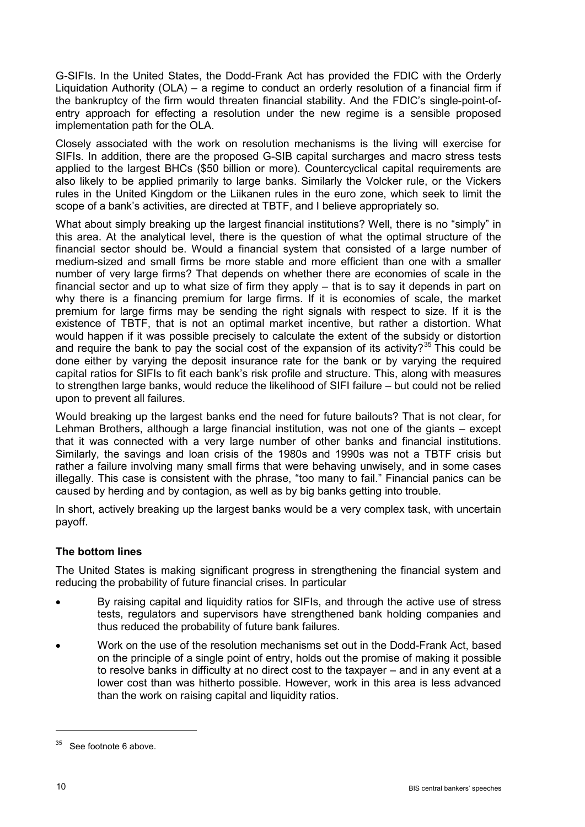G-SIFIs. In the United States, the Dodd-Frank Act has provided the FDIC with the Orderly Liquidation Authority (OLA) – a regime to conduct an orderly resolution of a financial firm if the bankruptcy of the firm would threaten financial stability. And the FDIC's single-point-ofentry approach for effecting a resolution under the new regime is a sensible proposed implementation path for the OLA.

Closely associated with the work on resolution mechanisms is the living will exercise for SIFIs. In addition, there are the proposed G-SIB capital surcharges and macro stress tests applied to the largest BHCs (\$50 billion or more). Countercyclical capital requirements are also likely to be applied primarily to large banks. Similarly the Volcker rule, or the Vickers rules in the United Kingdom or the Liikanen rules in the euro zone, which seek to limit the scope of a bank's activities, are directed at TBTF, and I believe appropriately so.

What about simply breaking up the largest financial institutions? Well, there is no "simply" in this area. At the analytical level, there is the question of what the optimal structure of the financial sector should be. Would a financial system that consisted of a large number of medium-sized and small firms be more stable and more efficient than one with a smaller number of very large firms? That depends on whether there are economies of scale in the financial sector and up to what size of firm they apply – that is to say it depends in part on why there is a financing premium for large firms. If it is economies of scale, the market premium for large firms may be sending the right signals with respect to size. If it is the existence of TBTF, that is not an optimal market incentive, but rather a distortion. What would happen if it was possible precisely to calculate the extent of the subsidy or distortion and require the bank to pay the social cost of the expansion of its activity?<sup>[35](#page-9-0)</sup> This could be done either by varying the deposit insurance rate for the bank or by varying the required capital ratios for SIFIs to fit each bank's risk profile and structure. This, along with measures to strengthen large banks, would reduce the likelihood of SIFI failure – but could not be relied upon to prevent all failures.

Would breaking up the largest banks end the need for future bailouts? That is not clear, for Lehman Brothers, although a large financial institution, was not one of the giants – except that it was connected with a very large number of other banks and financial institutions. Similarly, the savings and loan crisis of the 1980s and 1990s was not a TBTF crisis but rather a failure involving many small firms that were behaving unwisely, and in some cases illegally. This case is consistent with the phrase, "too many to fail." Financial panics can be caused by herding and by contagion, as well as by big banks getting into trouble.

In short, actively breaking up the largest banks would be a very complex task, with uncertain payoff.

# **The bottom lines**

The United States is making significant progress in strengthening the financial system and reducing the probability of future financial crises. In particular

- By raising capital and liquidity ratios for SIFIs, and through the active use of stress tests, regulators and supervisors have strengthened bank holding companies and thus reduced the probability of future bank failures.
- Work on the use of the resolution mechanisms set out in the Dodd-Frank Act, based on the principle of a single point of entry, holds out the promise of making it possible to resolve banks in difficulty at no direct cost to the taxpayer – and in any event at a lower cost than was hitherto possible. However, work in this area is less advanced than the work on raising capital and liquidity ratios.

<span id="page-9-0"></span> $35$  See footnote 6 above.